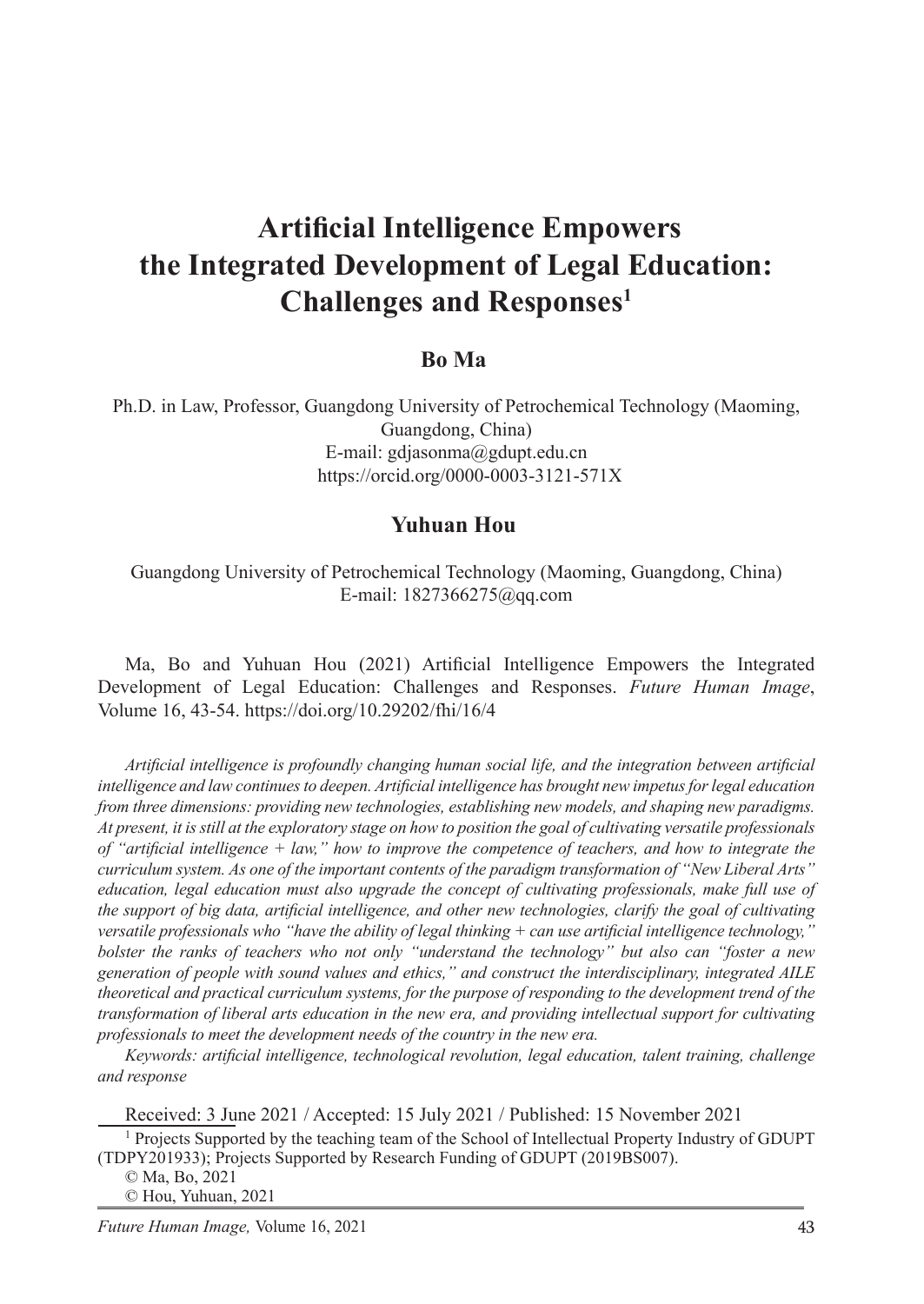# **Artificial Intelligence Empowers the Integrated Development of Legal Education: Challenges and Responses<sup>1</sup>**

## **Bo Ma**<sup>2</sup>

Ph.D. in Law, Professor, Guangdong University of Petrochemical Technology (Maoming, Guangdong, China) E-mail: gdjasonma@gdupt.edu.cn https://orcid.org/0000-0003-3121-571X

## **Yuhuan Hou**

Guangdong University of Petrochemical Technology (Maoming, Guangdong, China) E-mail: 1827366275@qq.com

Ma, Bo and Yuhuan Hou (2021) Artificial Intelligence Empowers the Integrated Development of Legal Education: Challenges and Responses. *Future Human Image*, Volume 16, 43-54. https://doi.org/10.29202/fhi/16/4

*Artificial intelligence is profoundly changing human social life, and the integration between artificial intelligence and law continues to deepen. Artificial intelligence has brought new impetus for legal education from three dimensions: providing new technologies, establishing new models, and shaping new paradigms. At present, it is still at the exploratory stage on how to position the goal of cultivating versatile professionals of "artificial intelligence + law," how to improve the competence of teachers, and how to integrate the curriculum system. As one of the important contents of the paradigm transformation of "New Liberal Arts" education, legal education must also upgrade the concept of cultivating professionals, make full use of the support of big data, artificial intelligence, and other new technologies, clarify the goal of cultivating versatile professionals who "have the ability of legal thinking + can use artificial intelligence technology," bolster the ranks of teachers who not only "understand the technology" but also can "foster a new generation of people with sound values and ethics," and construct the interdisciplinary, integrated AILE theoretical and practical curriculum systems, for the purpose of responding to the development trend of the transformation of liberal arts education in the new era, and providing intellectual support for cultivating professionals to meet the development needs of the country in the new era.*

*Keywords: artificial intelligence, technological revolution, legal education, talent training, challenge and response*

Received: 3 June 2021 / Accepted: 15 July 2021 / Published: 15 November 2021 <sup>1</sup> Projects Supported by the teaching team of the School of Intellectual Property Industry of GDUPT (TDPY201933); Projects Supported by Research Funding of GDUPT (2019BS007).

© Ma, Bo, 2021

© Hou, Yuhuan, 2021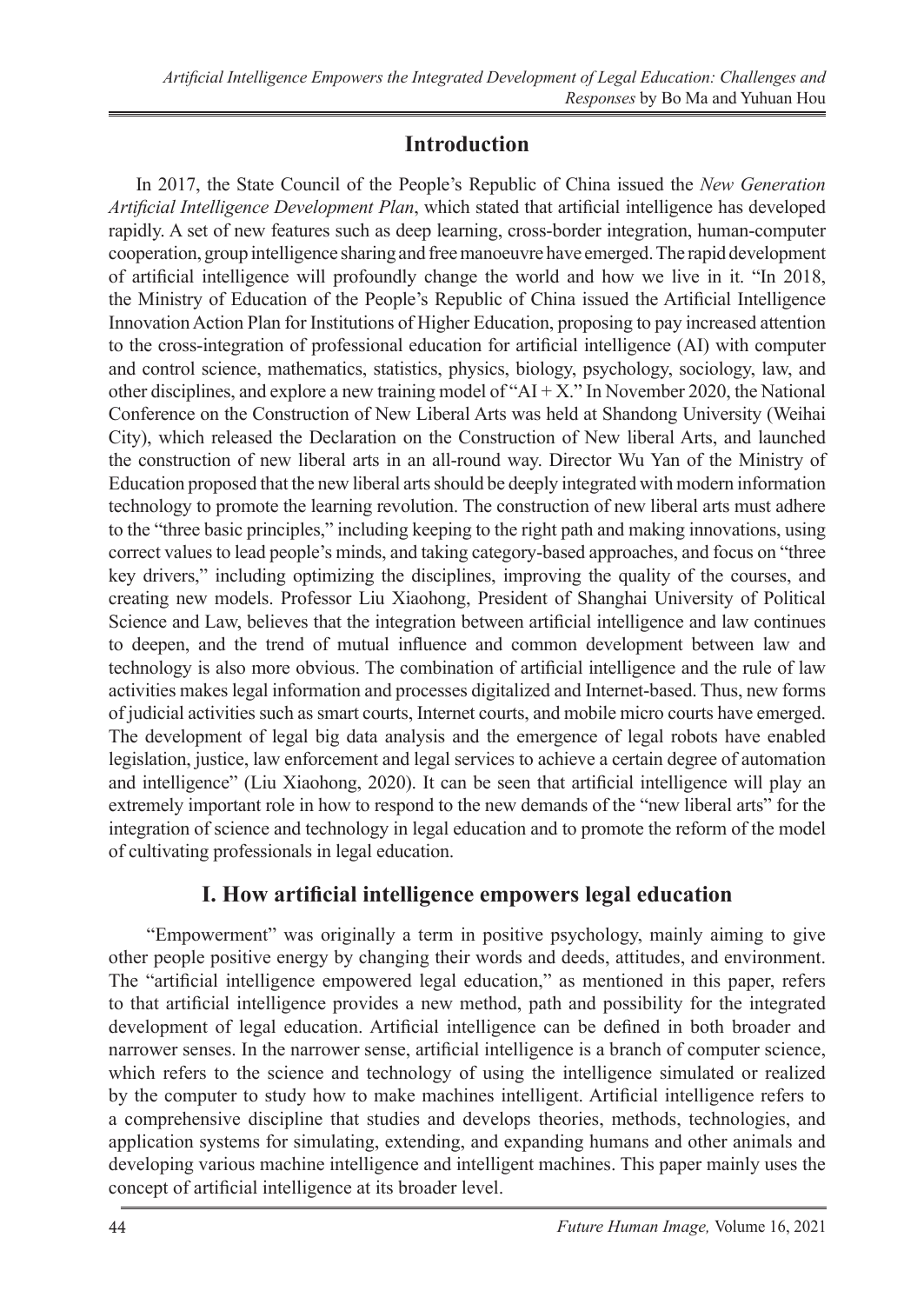# **Introduction**

In 2017, the State Council of the People's Republic of China issued the *New Generation Artificial Intelligence Development Plan*, which stated that artificial intelligence has developed rapidly. A set of new features such as deep learning, cross-border integration, human-computer cooperation, group intelligence sharing and free manoeuvre have emerged. The rapid development of artificial intelligence will profoundly change the world and how we live in it. "In 2018, the Ministry of Education of the People's Republic of China issued the Artificial Intelligence Innovation Action Plan for Institutions of Higher Education, proposing to pay increased attention to the cross-integration of professional education for artificial intelligence (AI) with computer and control science, mathematics, statistics, physics, biology, psychology, sociology, law, and other disciplines, and explore a new training model of "AI + X." In November 2020, the National Conference on the Construction of New Liberal Arts was held at Shandong University (Weihai City), which released the Declaration on the Construction of New liberal Arts, and launched the construction of new liberal arts in an all-round way. Director Wu Yan of the Ministry of Education proposed that the new liberal arts should be deeply integrated with modern information technology to promote the learning revolution. The construction of new liberal arts must adhere to the "three basic principles," including keeping to the right path and making innovations, using correct values to lead people's minds, and taking category-based approaches, and focus on "three key drivers," including optimizing the disciplines, improving the quality of the courses, and creating new models. Professor Liu Xiaohong, President of Shanghai University of Political Science and Law, believes that the integration between artificial intelligence and law continues to deepen, and the trend of mutual influence and common development between law and technology is also more obvious. The combination of artificial intelligence and the rule of law activities makes legal information and processes digitalized and Internet-based. Thus, new forms of judicial activities such as smart courts, Internet courts, and mobile micro courts have emerged. The development of legal big data analysis and the emergence of legal robots have enabled legislation, justice, law enforcement and legal services to achieve a certain degree of automation and intelligence" (Liu Xiaohong, 2020). It can be seen that artificial intelligence will play an extremely important role in how to respond to the new demands of the "new liberal arts" for the integration of science and technology in legal education and to promote the reform of the model of cultivating professionals in legal education.

## **I. How artificial intelligence empowers legal education**

"Empowerment" was originally a term in positive psychology, mainly aiming to give other people positive energy by changing their words and deeds, attitudes, and environment. The "artificial intelligence empowered legal education," as mentioned in this paper, refers to that artificial intelligence provides a new method, path and possibility for the integrated development of legal education. Artificial intelligence can be defined in both broader and narrower senses. In the narrower sense, artificial intelligence is a branch of computer science, which refers to the science and technology of using the intelligence simulated or realized by the computer to study how to make machines intelligent. Artificial intelligence refers to a comprehensive discipline that studies and develops theories, methods, technologies, and application systems for simulating, extending, and expanding humans and other animals and developing various machine intelligence and intelligent machines. This paper mainly uses the concept of artificial intelligence at its broader level.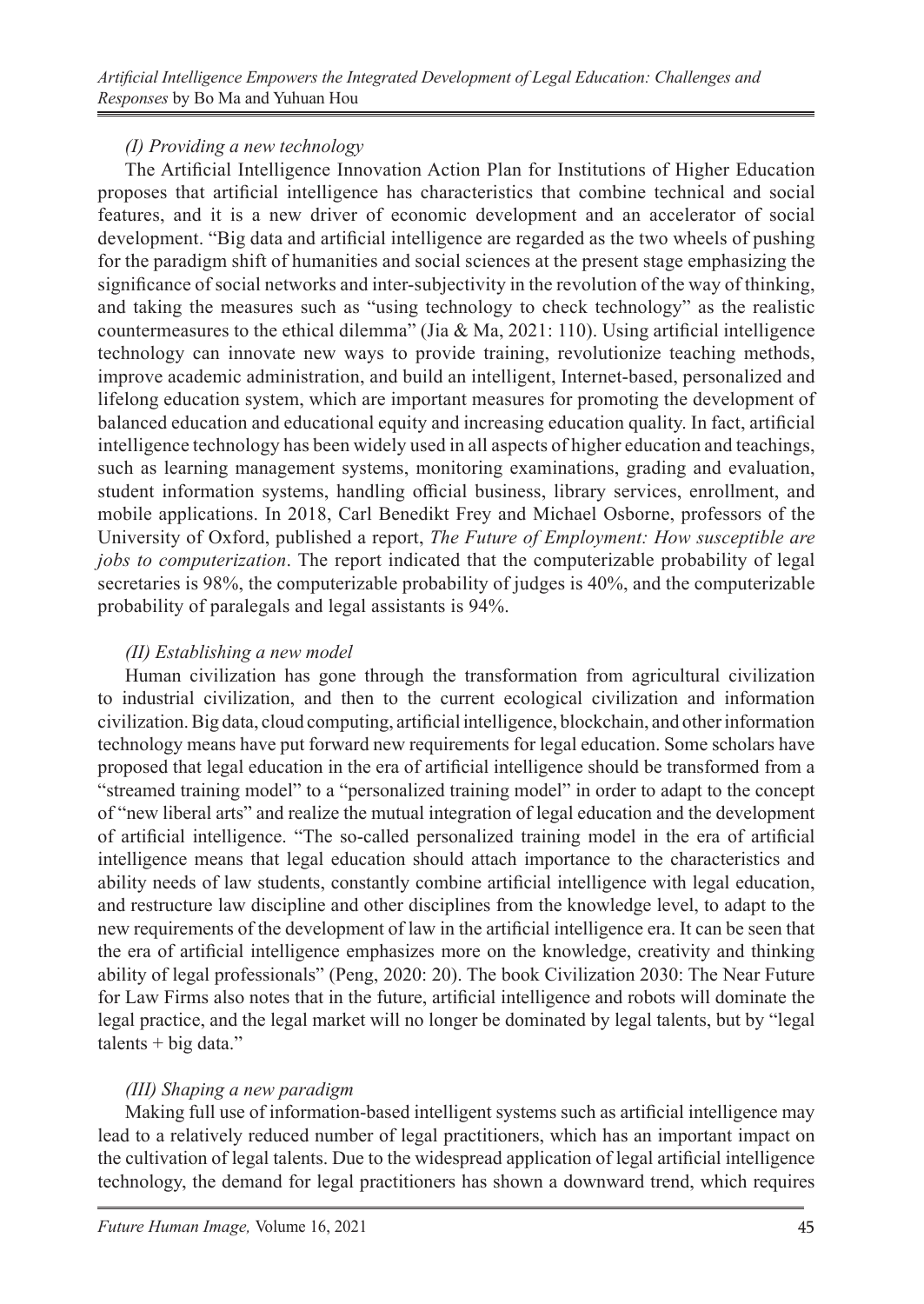## *(I) Providing a new technology*

The Artificial Intelligence Innovation Action Plan for Institutions of Higher Education proposes that artificial intelligence has characteristics that combine technical and social features, and it is a new driver of economic development and an accelerator of social development. "Big data and artificial intelligence are regarded as the two wheels of pushing for the paradigm shift of humanities and social sciences at the present stage emphasizing the significance of social networks and inter-subjectivity in the revolution of the way of thinking, and taking the measures such as "using technology to check technology" as the realistic countermeasures to the ethical dilemma" (Jia & Ma, 2021: 110). Using artificial intelligence technology can innovate new ways to provide training, revolutionize teaching methods, improve academic administration, and build an intelligent, Internet-based, personalized and lifelong education system, which are important measures for promoting the development of balanced education and educational equity and increasing education quality. In fact, artificial intelligence technology has been widely used in all aspects of higher education and teachings, such as learning management systems, monitoring examinations, grading and evaluation, student information systems, handling official business, library services, enrollment, and mobile applications. In 2018, Carl Benedikt Frey and Michael Osborne, professors of the University of Oxford, published a report, *The Future of Employment: How susceptible are jobs to computerization*. The report indicated that the computerizable probability of legal secretaries is 98%, the computerizable probability of judges is 40%, and the computerizable probability of paralegals and legal assistants is 94%.

## *(II) Establishing a new model*

Human civilization has gone through the transformation from agricultural civilization to industrial civilization, and then to the current ecological civilization and information civilization. Big data, cloud computing, artificial intelligence, blockchain, and other information technology means have put forward new requirements for legal education. Some scholars have proposed that legal education in the era of artificial intelligence should be transformed from a "streamed training model" to a "personalized training model" in order to adapt to the concept of "new liberal arts" and realize the mutual integration of legal education and the development of artificial intelligence. "The so-called personalized training model in the era of artificial intelligence means that legal education should attach importance to the characteristics and ability needs of law students, constantly combine artificial intelligence with legal education, and restructure law discipline and other disciplines from the knowledge level, to adapt to the new requirements of the development of law in the artificial intelligence era. It can be seen that the era of artificial intelligence emphasizes more on the knowledge, creativity and thinking ability of legal professionals" (Peng, 2020: 20). The book Civilization 2030: The Near Future for Law Firms also notes that in the future, artificial intelligence and robots will dominate the legal practice, and the legal market will no longer be dominated by legal talents, but by "legal talents + big data."

## *(III) Shaping a new paradigm*

Making full use of information-based intelligent systems such as artificial intelligence may lead to a relatively reduced number of legal practitioners, which has an important impact on the cultivation of legal talents. Due to the widespread application of legal artificial intelligence technology, the demand for legal practitioners has shown a downward trend, which requires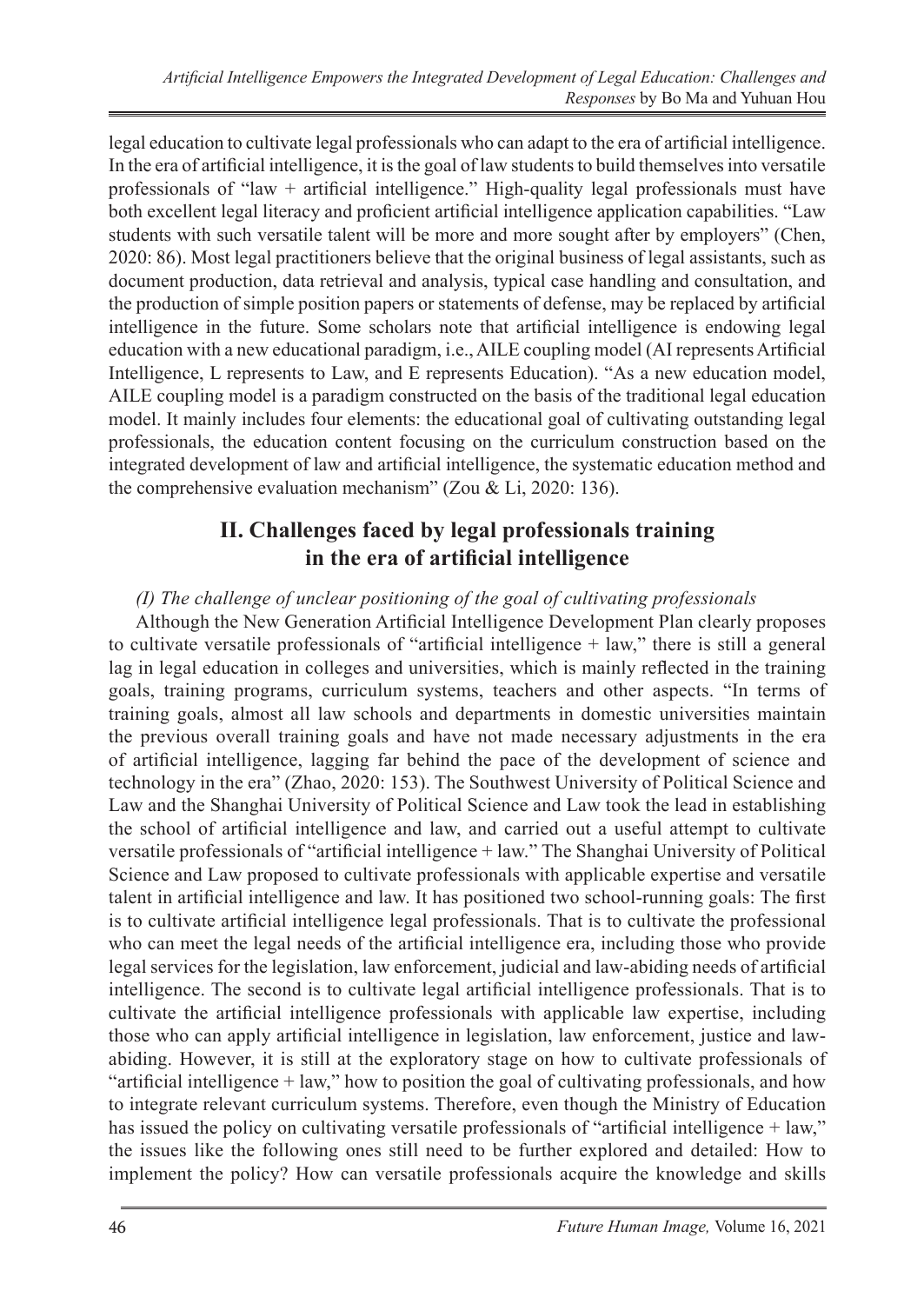legal education to cultivate legal professionals who can adapt to the era of artificial intelligence. In the era of artificial intelligence, it is the goal of law students to build themselves into versatile professionals of "law + artificial intelligence." High-quality legal professionals must have both excellent legal literacy and proficient artificial intelligence application capabilities. "Law students with such versatile talent will be more and more sought after by employers" (Chen, 2020: 86). Most legal practitioners believe that the original business of legal assistants, such as document production, data retrieval and analysis, typical case handling and consultation, and the production of simple position papers or statements of defense, may be replaced by artificial intelligence in the future. Some scholars note that artificial intelligence is endowing legal education with a new educational paradigm, i.e., AILE coupling model (AI represents Artificial Intelligence, L represents to Law, and E represents Education). "As a new education model, AILE coupling model is a paradigm constructed on the basis of the traditional legal education model. It mainly includes four elements: the educational goal of cultivating outstanding legal professionals, the education content focusing on the curriculum construction based on the integrated development of law and artificial intelligence, the systematic education method and the comprehensive evaluation mechanism" (Zou & Li, 2020: 136).

## **II. Challenges faced by legal professionals training in the era of artificial intelligence**

### *(I) The challenge of unclear positioning of the goal of cultivating professionals*

Although the New Generation Artificial Intelligence Development Plan clearly proposes to cultivate versatile professionals of "artificial intelligence + law," there is still a general lag in legal education in colleges and universities, which is mainly reflected in the training goals, training programs, curriculum systems, teachers and other aspects. "In terms of training goals, almost all law schools and departments in domestic universities maintain the previous overall training goals and have not made necessary adjustments in the era of artificial intelligence, lagging far behind the pace of the development of science and technology in the era" (Zhao, 2020: 153). The Southwest University of Political Science and Law and the Shanghai University of Political Science and Law took the lead in establishing the school of artificial intelligence and law, and carried out a useful attempt to cultivate versatile professionals of "artificial intelligence + law." The Shanghai University of Political Science and Law proposed to cultivate professionals with applicable expertise and versatile talent in artificial intelligence and law. It has positioned two school-running goals: The first is to cultivate artificial intelligence legal professionals. That is to cultivate the professional who can meet the legal needs of the artificial intelligence era, including those who provide legal services for the legislation, law enforcement, judicial and law-abiding needs of artificial intelligence. The second is to cultivate legal artificial intelligence professionals. That is to cultivate the artificial intelligence professionals with applicable law expertise, including those who can apply artificial intelligence in legislation, law enforcement, justice and lawabiding. However, it is still at the exploratory stage on how to cultivate professionals of "artificial intelligence + law," how to position the goal of cultivating professionals, and how to integrate relevant curriculum systems. Therefore, even though the Ministry of Education has issued the policy on cultivating versatile professionals of "artificial intelligence + law," the issues like the following ones still need to be further explored and detailed: How to implement the policy? How can versatile professionals acquire the knowledge and skills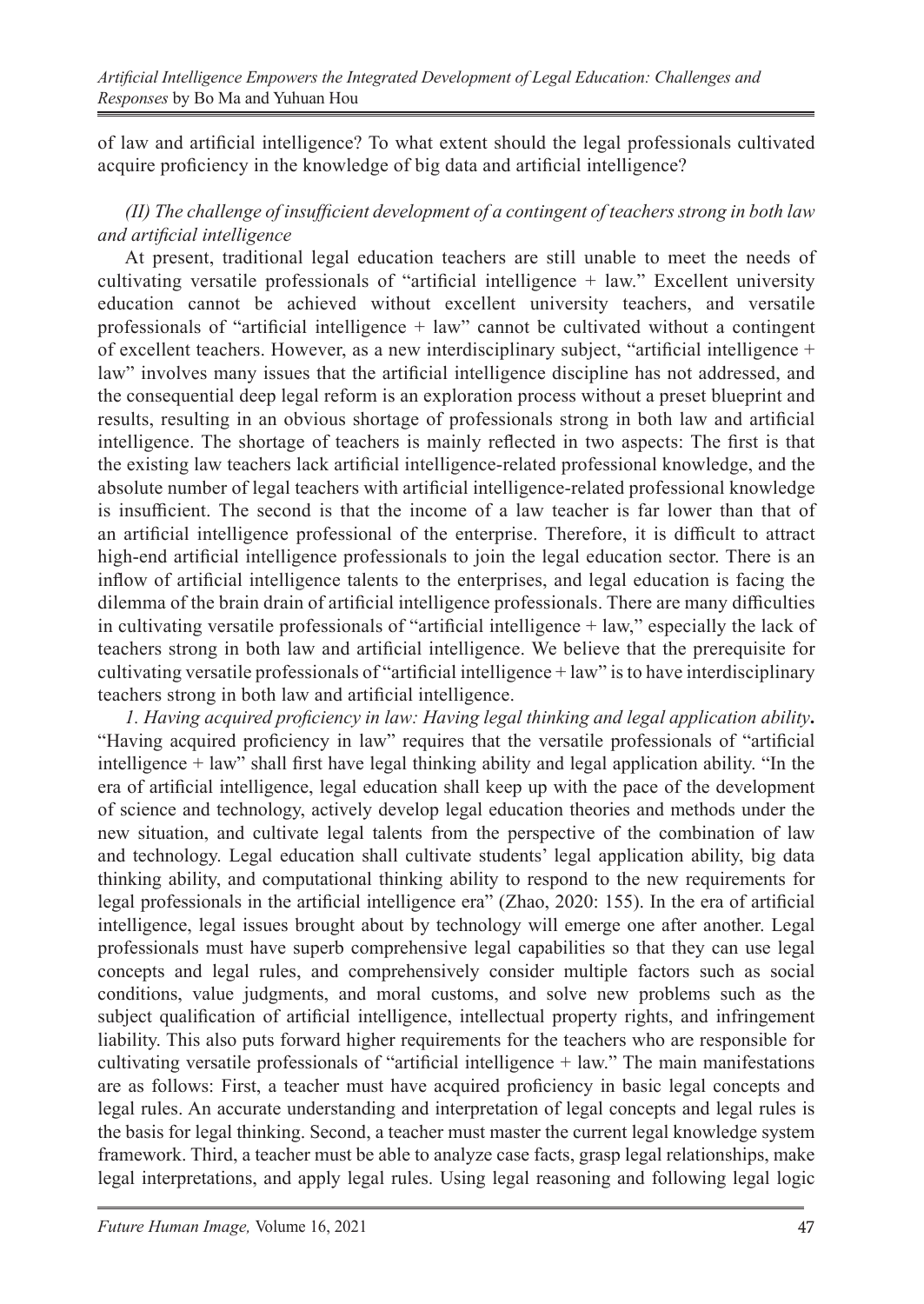of law and artificial intelligence? To what extent should the legal professionals cultivated acquire proficiency in the knowledge of big data and artificial intelligence?

## *(II) The challenge of insufficient development of a contingent of teachers strong in both law and artificial intelligence*

At present, traditional legal education teachers are still unable to meet the needs of cultivating versatile professionals of "artificial intelligence + law." Excellent university education cannot be achieved without excellent university teachers, and versatile professionals of "artificial intelligence + law" cannot be cultivated without a contingent of excellent teachers. However, as a new interdisciplinary subject, "artificial intelligence + law" involves many issues that the artificial intelligence discipline has not addressed, and the consequential deep legal reform is an exploration process without a preset blueprint and results, resulting in an obvious shortage of professionals strong in both law and artificial intelligence. The shortage of teachers is mainly reflected in two aspects: The first is that the existing law teachers lack artificial intelligence-related professional knowledge, and the absolute number of legal teachers with artificial intelligence-related professional knowledge is insufficient. The second is that the income of a law teacher is far lower than that of an artificial intelligence professional of the enterprise. Therefore, it is difficult to attract high-end artificial intelligence professionals to join the legal education sector. There is an inflow of artificial intelligence talents to the enterprises, and legal education is facing the dilemma of the brain drain of artificial intelligence professionals. There are many difficulties in cultivating versatile professionals of "artificial intelligence + law," especially the lack of teachers strong in both law and artificial intelligence. We believe that the prerequisite for cultivating versatile professionals of "artificial intelligence + law" is to have interdisciplinary teachers strong in both law and artificial intelligence.

*1. Having acquired proficiency in law: Having legal thinking and legal application ability***.**  "Having acquired proficiency in law" requires that the versatile professionals of "artificial intelligence + law" shall first have legal thinking ability and legal application ability. "In the era of artificial intelligence, legal education shall keep up with the pace of the development of science and technology, actively develop legal education theories and methods under the new situation, and cultivate legal talents from the perspective of the combination of law and technology. Legal education shall cultivate students' legal application ability, big data thinking ability, and computational thinking ability to respond to the new requirements for legal professionals in the artificial intelligence era" (Zhao, 2020: 155). In the era of artificial intelligence, legal issues brought about by technology will emerge one after another. Legal professionals must have superb comprehensive legal capabilities so that they can use legal concepts and legal rules, and comprehensively consider multiple factors such as social conditions, value judgments, and moral customs, and solve new problems such as the subject qualification of artificial intelligence, intellectual property rights, and infringement liability. This also puts forward higher requirements for the teachers who are responsible for cultivating versatile professionals of "artificial intelligence + law." The main manifestations are as follows: First, a teacher must have acquired proficiency in basic legal concepts and legal rules. An accurate understanding and interpretation of legal concepts and legal rules is the basis for legal thinking. Second, a teacher must master the current legal knowledge system framework. Third, a teacher must be able to analyze case facts, grasp legal relationships, make legal interpretations, and apply legal rules. Using legal reasoning and following legal logic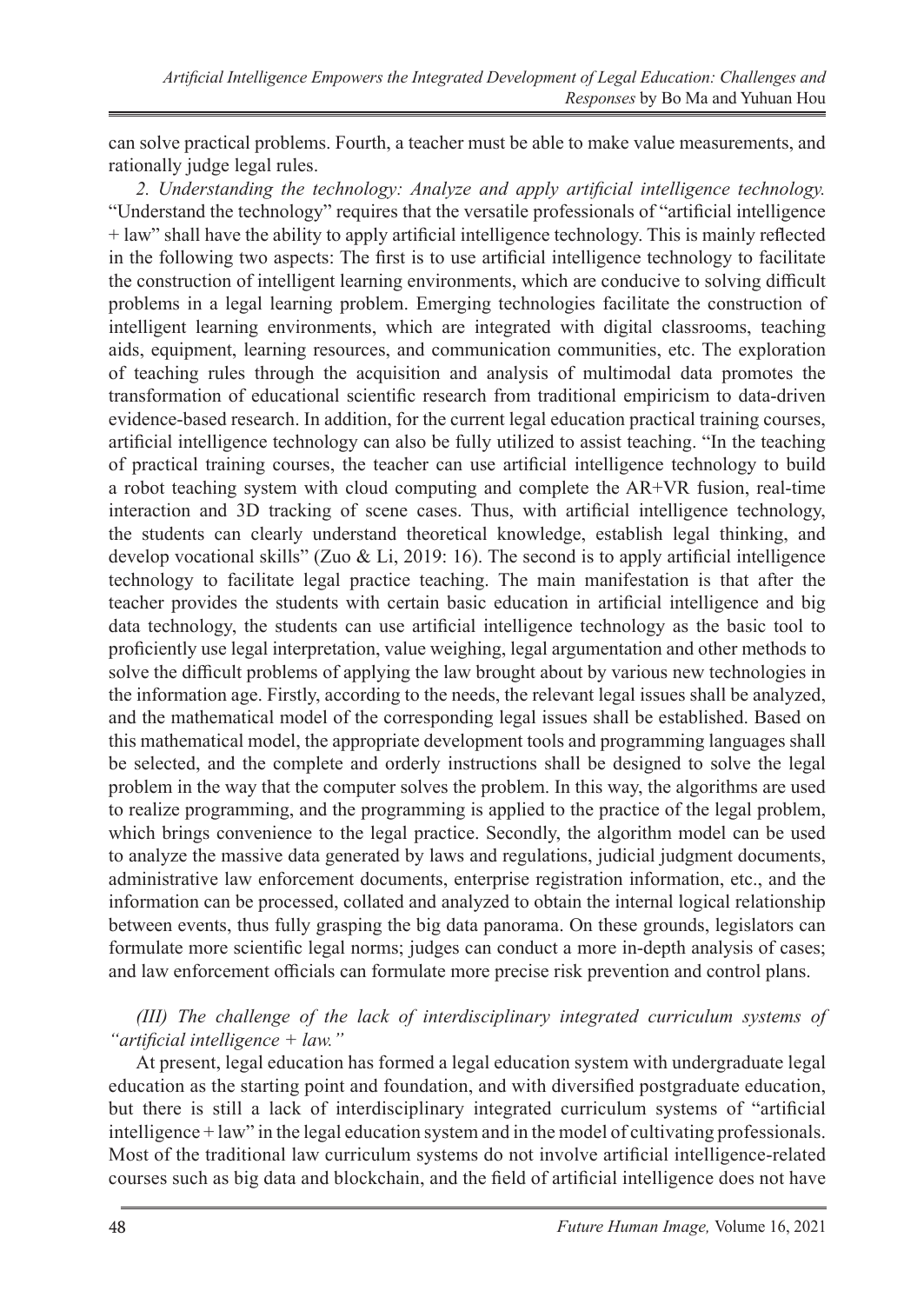can solve practical problems. Fourth, a teacher must be able to make value measurements, and rationally judge legal rules.

*2. Understanding the technology: Analyze and apply artificial intelligence technology.* "Understand the technology" requires that the versatile professionals of "artificial intelligence + law" shall have the ability to apply artificial intelligence technology. This is mainly reflected in the following two aspects: The first is to use artificial intelligence technology to facilitate the construction of intelligent learning environments, which are conducive to solving difficult problems in a legal learning problem. Emerging technologies facilitate the construction of intelligent learning environments, which are integrated with digital classrooms, teaching aids, equipment, learning resources, and communication communities, etc. The exploration of teaching rules through the acquisition and analysis of multimodal data promotes the transformation of educational scientific research from traditional empiricism to data-driven evidence-based research. In addition, for the current legal education practical training courses, artificial intelligence technology can also be fully utilized to assist teaching. "In the teaching of practical training courses, the teacher can use artificial intelligence technology to build a robot teaching system with cloud computing and complete the AR+VR fusion, real-time interaction and 3D tracking of scene cases. Thus, with artificial intelligence technology, the students can clearly understand theoretical knowledge, establish legal thinking, and develop vocational skills" (Zuo & Li, 2019: 16). The second is to apply artificial intelligence technology to facilitate legal practice teaching. The main manifestation is that after the teacher provides the students with certain basic education in artificial intelligence and big data technology, the students can use artificial intelligence technology as the basic tool to proficiently use legal interpretation, value weighing, legal argumentation and other methods to solve the difficult problems of applying the law brought about by various new technologies in the information age. Firstly, according to the needs, the relevant legal issues shall be analyzed, and the mathematical model of the corresponding legal issues shall be established. Based on this mathematical model, the appropriate development tools and programming languages shall be selected, and the complete and orderly instructions shall be designed to solve the legal problem in the way that the computer solves the problem. In this way, the algorithms are used to realize programming, and the programming is applied to the practice of the legal problem, which brings convenience to the legal practice. Secondly, the algorithm model can be used to analyze the massive data generated by laws and regulations, judicial judgment documents, administrative law enforcement documents, enterprise registration information, etc., and the information can be processed, collated and analyzed to obtain the internal logical relationship between events, thus fully grasping the big data panorama. On these grounds, legislators can formulate more scientific legal norms; judges can conduct a more in-depth analysis of cases; and law enforcement officials can formulate more precise risk prevention and control plans.

*(III) The challenge of the lack of interdisciplinary integrated curriculum systems of "artificial intelligence + law."*

At present, legal education has formed a legal education system with undergraduate legal education as the starting point and foundation, and with diversified postgraduate education, but there is still a lack of interdisciplinary integrated curriculum systems of "artificial intelligence + law" in the legal education system and in the model of cultivating professionals. Most of the traditional law curriculum systems do not involve artificial intelligence-related courses such as big data and blockchain, and the field of artificial intelligence does not have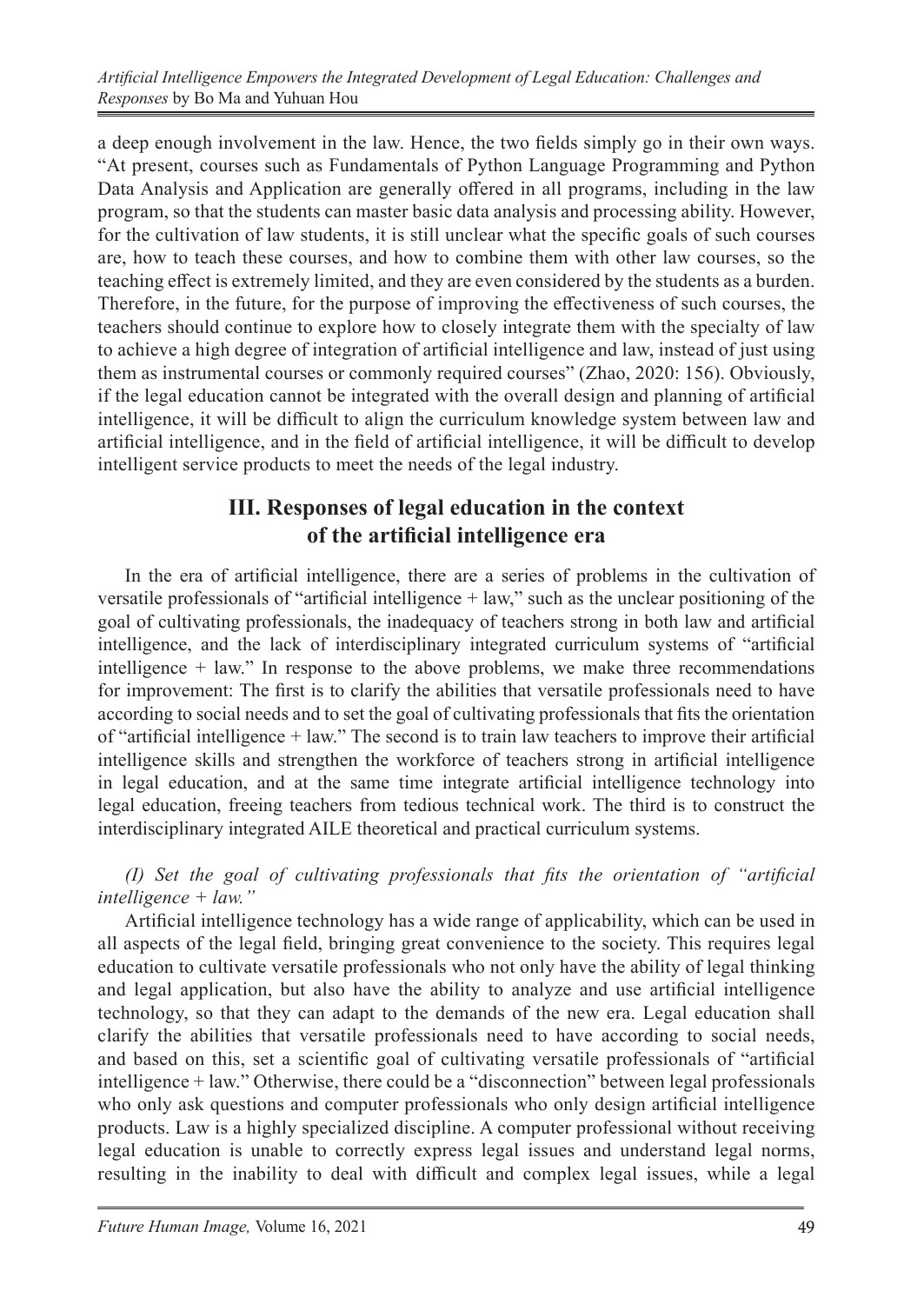a deep enough involvement in the law. Hence, the two fields simply go in their own ways. "At present, courses such as Fundamentals of Python Language Programming and Python Data Analysis and Application are generally offered in all programs, including in the law program, so that the students can master basic data analysis and processing ability. However, for the cultivation of law students, it is still unclear what the specific goals of such courses are, how to teach these courses, and how to combine them with other law courses, so the teaching effect is extremely limited, and they are even considered by the students as a burden. Therefore, in the future, for the purpose of improving the effectiveness of such courses, the teachers should continue to explore how to closely integrate them with the specialty of law to achieve a high degree of integration of artificial intelligence and law, instead of just using them as instrumental courses or commonly required courses" (Zhao, 2020: 156). Obviously, if the legal education cannot be integrated with the overall design and planning of artificial intelligence, it will be difficult to align the curriculum knowledge system between law and artificial intelligence, and in the field of artificial intelligence, it will be difficult to develop intelligent service products to meet the needs of the legal industry.

# **III. Responses of legal education in the context of the artificial intelligence era**

In the era of artificial intelligence, there are a series of problems in the cultivation of versatile professionals of "artificial intelligence + law," such as the unclear positioning of the goal of cultivating professionals, the inadequacy of teachers strong in both law and artificial intelligence, and the lack of interdisciplinary integrated curriculum systems of "artificial intelligence + law." In response to the above problems, we make three recommendations for improvement: The first is to clarify the abilities that versatile professionals need to have according to social needs and to set the goal of cultivating professionals that fits the orientation of "artificial intelligence + law." The second is to train law teachers to improve their artificial intelligence skills and strengthen the workforce of teachers strong in artificial intelligence in legal education, and at the same time integrate artificial intelligence technology into legal education, freeing teachers from tedious technical work. The third is to construct the interdisciplinary integrated AILE theoretical and practical curriculum systems.

*(I) Set the goal of cultivating professionals that fits the orientation of "artificial intelligence + law."* 

Artificial intelligence technology has a wide range of applicability, which can be used in all aspects of the legal field, bringing great convenience to the society. This requires legal education to cultivate versatile professionals who not only have the ability of legal thinking and legal application, but also have the ability to analyze and use artificial intelligence technology, so that they can adapt to the demands of the new era. Legal education shall clarify the abilities that versatile professionals need to have according to social needs, and based on this, set a scientific goal of cultivating versatile professionals of "artificial intelligence + law." Otherwise, there could be a "disconnection" between legal professionals who only ask questions and computer professionals who only design artificial intelligence products. Law is a highly specialized discipline. A computer professional without receiving legal education is unable to correctly express legal issues and understand legal norms, resulting in the inability to deal with difficult and complex legal issues, while a legal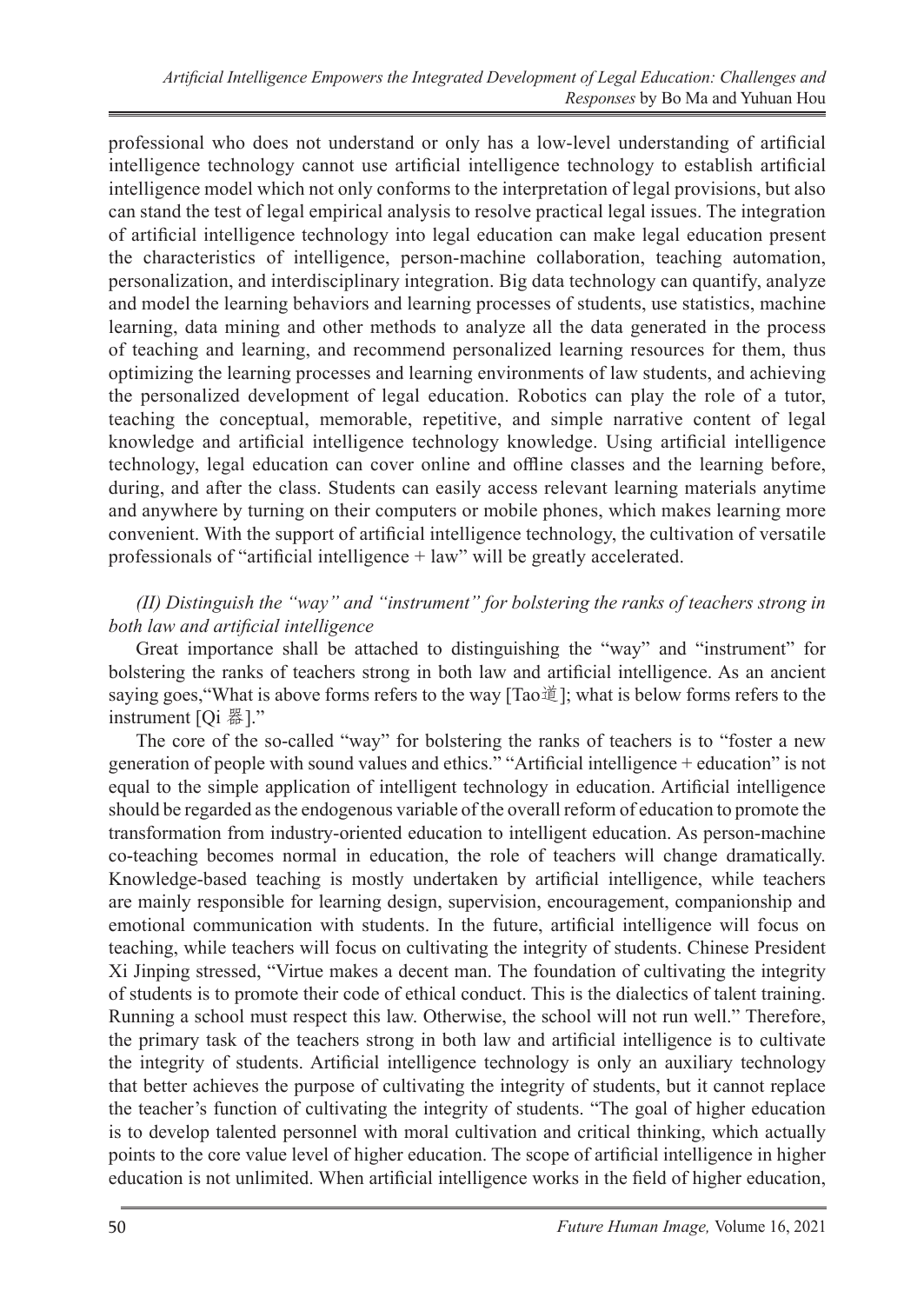professional who does not understand or only has a low-level understanding of artificial intelligence technology cannot use artificial intelligence technology to establish artificial intelligence model which not only conforms to the interpretation of legal provisions, but also can stand the test of legal empirical analysis to resolve practical legal issues. The integration of artificial intelligence technology into legal education can make legal education present the characteristics of intelligence, person-machine collaboration, teaching automation, personalization, and interdisciplinary integration. Big data technology can quantify, analyze and model the learning behaviors and learning processes of students, use statistics, machine learning, data mining and other methods to analyze all the data generated in the process of teaching and learning, and recommend personalized learning resources for them, thus optimizing the learning processes and learning environments of law students, and achieving the personalized development of legal education. Robotics can play the role of a tutor, teaching the conceptual, memorable, repetitive, and simple narrative content of legal knowledge and artificial intelligence technology knowledge. Using artificial intelligence technology, legal education can cover online and offline classes and the learning before, during, and after the class. Students can easily access relevant learning materials anytime and anywhere by turning on their computers or mobile phones, which makes learning more convenient. With the support of artificial intelligence technology, the cultivation of versatile professionals of "artificial intelligence + law" will be greatly accelerated.

### *(II) Distinguish the "way" and "instrument" for bolstering the ranks of teachers strong in both law and artificial intelligence*

Great importance shall be attached to distinguishing the "way" and "instrument" for bolstering the ranks of teachers strong in both law and artificial intelligence. As an ancient saying goes,"What is above forms refers to the way [Tao道]; what is below forms refers to the instrument [Qi 器]."

The core of the so-called "way" for bolstering the ranks of teachers is to "foster a new generation of people with sound values and ethics." "Artificial intelligence + education" is not equal to the simple application of intelligent technology in education. Artificial intelligence should be regarded as the endogenous variable of the overall reform of education to promote the transformation from industry-oriented education to intelligent education. As person-machine co-teaching becomes normal in education, the role of teachers will change dramatically. Knowledge-based teaching is mostly undertaken by artificial intelligence, while teachers are mainly responsible for learning design, supervision, encouragement, companionship and emotional communication with students. In the future, artificial intelligence will focus on teaching, while teachers will focus on cultivating the integrity of students. Chinese President Xi Jinping stressed, "Virtue makes a decent man. The foundation of cultivating the integrity of students is to promote their code of ethical conduct. This is the dialectics of talent training. Running a school must respect this law. Otherwise, the school will not run well." Therefore, the primary task of the teachers strong in both law and artificial intelligence is to cultivate the integrity of students. Artificial intelligence technology is only an auxiliary technology that better achieves the purpose of cultivating the integrity of students, but it cannot replace the teacher's function of cultivating the integrity of students. "The goal of higher education is to develop talented personnel with moral cultivation and critical thinking, which actually points to the core value level of higher education. The scope of artificial intelligence in higher education is not unlimited. When artificial intelligence works in the field of higher education,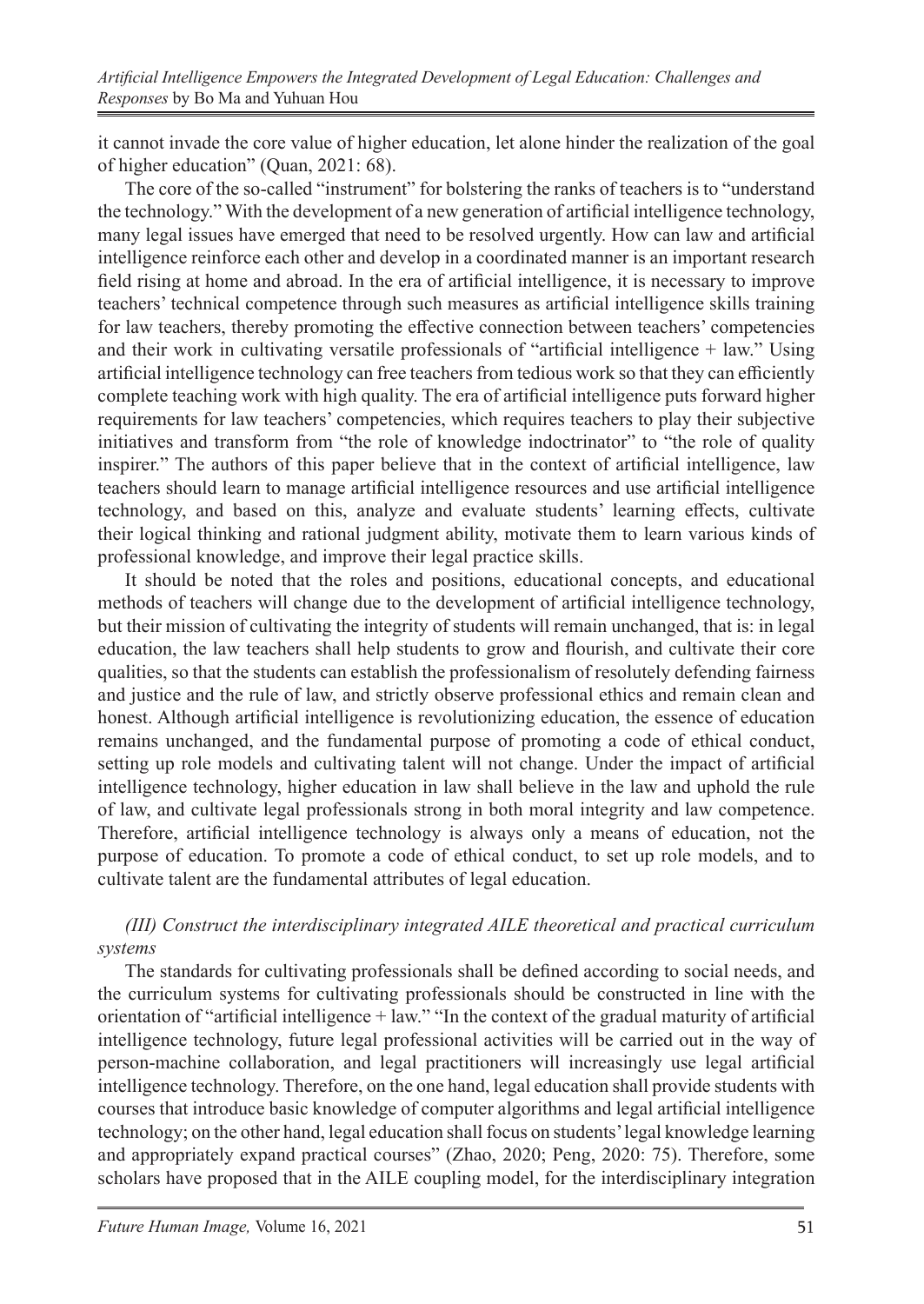it cannot invade the core value of higher education, let alone hinder the realization of the goal of higher education" (Quan, 2021: 68).

The core of the so-called "instrument" for bolstering the ranks of teachers is to "understand the technology." With the development of a new generation of artificial intelligence technology, many legal issues have emerged that need to be resolved urgently. How can law and artificial intelligence reinforce each other and develop in a coordinated manner is an important research field rising at home and abroad. In the era of artificial intelligence, it is necessary to improve teachers' technical competence through such measures as artificial intelligence skills training for law teachers, thereby promoting the effective connection between teachers' competencies and their work in cultivating versatile professionals of "artificial intelligence  $+$  law." Using artificial intelligence technology can free teachers from tedious work so that they can efficiently complete teaching work with high quality. The era of artificial intelligence puts forward higher requirements for law teachers' competencies, which requires teachers to play their subjective initiatives and transform from "the role of knowledge indoctrinator" to "the role of quality inspirer." The authors of this paper believe that in the context of artificial intelligence, law teachers should learn to manage artificial intelligence resources and use artificial intelligence technology, and based on this, analyze and evaluate students' learning effects, cultivate their logical thinking and rational judgment ability, motivate them to learn various kinds of professional knowledge, and improve their legal practice skills.

It should be noted that the roles and positions, educational concepts, and educational methods of teachers will change due to the development of artificial intelligence technology, but their mission of cultivating the integrity of students will remain unchanged, that is: in legal education, the law teachers shall help students to grow and flourish, and cultivate their core qualities, so that the students can establish the professionalism of resolutely defending fairness and justice and the rule of law, and strictly observe professional ethics and remain clean and honest. Although artificial intelligence is revolutionizing education, the essence of education remains unchanged, and the fundamental purpose of promoting a code of ethical conduct, setting up role models and cultivating talent will not change. Under the impact of artificial intelligence technology, higher education in law shall believe in the law and uphold the rule of law, and cultivate legal professionals strong in both moral integrity and law competence. Therefore, artificial intelligence technology is always only a means of education, not the purpose of education. To promote a code of ethical conduct, to set up role models, and to cultivate talent are the fundamental attributes of legal education.

## *(III) Construct the interdisciplinary integrated AILE theoretical and practical curriculum systems*

The standards for cultivating professionals shall be defined according to social needs, and the curriculum systems for cultivating professionals should be constructed in line with the orientation of "artificial intelligence + law." "In the context of the gradual maturity of artificial intelligence technology, future legal professional activities will be carried out in the way of person-machine collaboration, and legal practitioners will increasingly use legal artificial intelligence technology. Therefore, on the one hand, legal education shall provide students with courses that introduce basic knowledge of computer algorithms and legal artificial intelligence technology; on the other hand, legal education shall focus on students' legal knowledge learning and appropriately expand practical courses" (Zhao, 2020; Peng, 2020: 75). Therefore, some scholars have proposed that in the AILE coupling model, for the interdisciplinary integration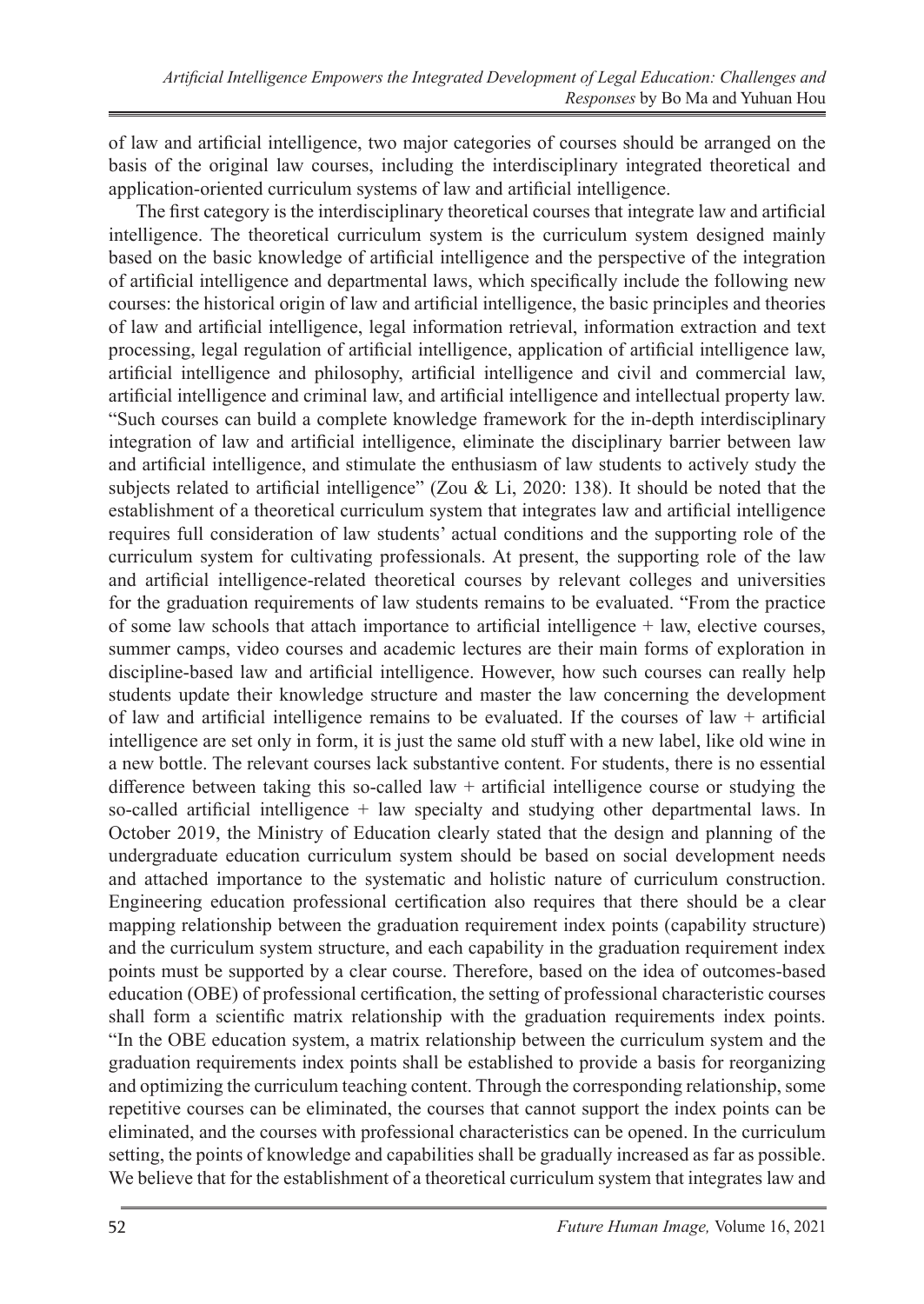of law and artificial intelligence, two major categories of courses should be arranged on the basis of the original law courses, including the interdisciplinary integrated theoretical and application-oriented curriculum systems of law and artificial intelligence.

The first category is the interdisciplinary theoretical courses that integrate law and artificial intelligence. The theoretical curriculum system is the curriculum system designed mainly based on the basic knowledge of artificial intelligence and the perspective of the integration of artificial intelligence and departmental laws, which specifically include the following new courses: the historical origin of law and artificial intelligence, the basic principles and theories of law and artificial intelligence, legal information retrieval, information extraction and text processing, legal regulation of artificial intelligence, application of artificial intelligence law, artificial intelligence and philosophy, artificial intelligence and civil and commercial law, artificial intelligence and criminal law, and artificial intelligence and intellectual property law. "Such courses can build a complete knowledge framework for the in-depth interdisciplinary integration of law and artificial intelligence, eliminate the disciplinary barrier between law and artificial intelligence, and stimulate the enthusiasm of law students to actively study the subjects related to artificial intelligence" (Zou & Li, 2020: 138). It should be noted that the establishment of a theoretical curriculum system that integrates law and artificial intelligence requires full consideration of law students' actual conditions and the supporting role of the curriculum system for cultivating professionals. At present, the supporting role of the law and artificial intelligence-related theoretical courses by relevant colleges and universities for the graduation requirements of law students remains to be evaluated. "From the practice of some law schools that attach importance to artificial intelligence + law, elective courses, summer camps, video courses and academic lectures are their main forms of exploration in discipline-based law and artificial intelligence. However, how such courses can really help students update their knowledge structure and master the law concerning the development of law and artificial intelligence remains to be evaluated. If the courses of law  $+$  artificial intelligence are set only in form, it is just the same old stuff with a new label, like old wine in a new bottle. The relevant courses lack substantive content. For students, there is no essential difference between taking this so-called law  $+$  artificial intelligence course or studying the so-called artificial intelligence + law specialty and studying other departmental laws. In October 2019, the Ministry of Education clearly stated that the design and planning of the undergraduate education curriculum system should be based on social development needs and attached importance to the systematic and holistic nature of curriculum construction. Engineering education professional certification also requires that there should be a clear mapping relationship between the graduation requirement index points (capability structure) and the curriculum system structure, and each capability in the graduation requirement index points must be supported by a clear course. Therefore, based on the idea of outcomes-based education (OBE) of professional certification, the setting of professional characteristic courses shall form a scientific matrix relationship with the graduation requirements index points. "In the OBE education system, a matrix relationship between the curriculum system and the graduation requirements index points shall be established to provide a basis for reorganizing and optimizing the curriculum teaching content. Through the corresponding relationship, some repetitive courses can be eliminated, the courses that cannot support the index points can be eliminated, and the courses with professional characteristics can be opened. In the curriculum setting, the points of knowledge and capabilities shall be gradually increased as far as possible. We believe that for the establishment of a theoretical curriculum system that integrates law and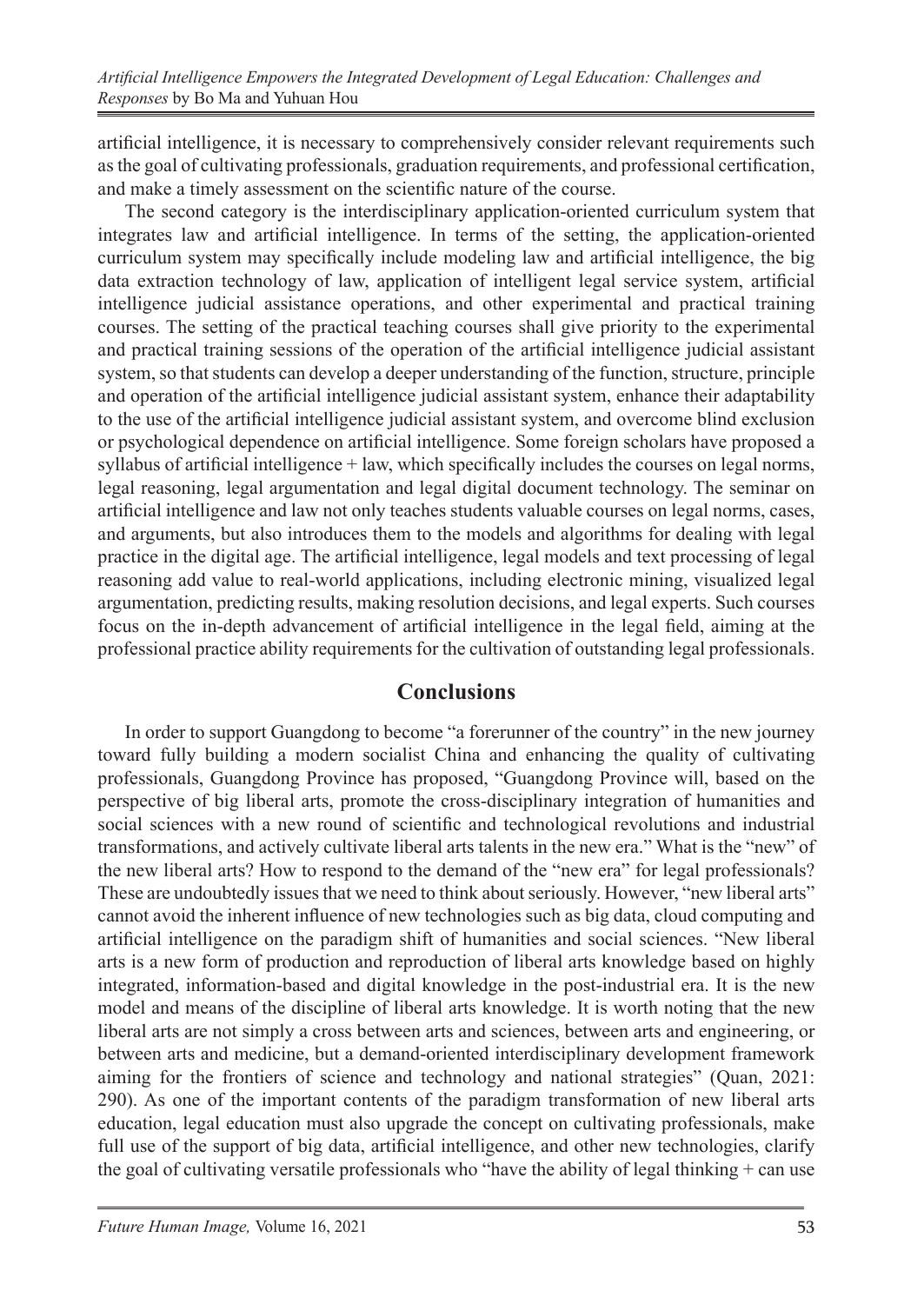artificial intelligence, it is necessary to comprehensively consider relevant requirements such as the goal of cultivating professionals, graduation requirements, and professional certification, and make a timely assessment on the scientific nature of the course.

The second category is the interdisciplinary application-oriented curriculum system that integrates law and artificial intelligence. In terms of the setting, the application-oriented curriculum system may specifically include modeling law and artificial intelligence, the big data extraction technology of law, application of intelligent legal service system, artificial intelligence judicial assistance operations, and other experimental and practical training courses. The setting of the practical teaching courses shall give priority to the experimental and practical training sessions of the operation of the artificial intelligence judicial assistant system, so that students can develop a deeper understanding of the function, structure, principle and operation of the artificial intelligence judicial assistant system, enhance their adaptability to the use of the artificial intelligence judicial assistant system, and overcome blind exclusion or psychological dependence on artificial intelligence. Some foreign scholars have proposed a syllabus of artificial intelligence + law, which specifically includes the courses on legal norms, legal reasoning, legal argumentation and legal digital document technology. The seminar on artificial intelligence and law not only teaches students valuable courses on legal norms, cases, and arguments, but also introduces them to the models and algorithms for dealing with legal practice in the digital age. The artificial intelligence, legal models and text processing of legal reasoning add value to real-world applications, including electronic mining, visualized legal argumentation, predicting results, making resolution decisions, and legal experts. Such courses focus on the in-depth advancement of artificial intelligence in the legal field, aiming at the professional practice ability requirements for the cultivation of outstanding legal professionals.

## **Conclusions**

In order to support Guangdong to become "a forerunner of the country" in the new journey toward fully building a modern socialist China and enhancing the quality of cultivating professionals, Guangdong Province has proposed, "Guangdong Province will, based on the perspective of big liberal arts, promote the cross-disciplinary integration of humanities and social sciences with a new round of scientific and technological revolutions and industrial transformations, and actively cultivate liberal arts talents in the new era." What is the "new" of the new liberal arts? How to respond to the demand of the "new era" for legal professionals? These are undoubtedly issues that we need to think about seriously. However, "new liberal arts" cannot avoid the inherent influence of new technologies such as big data, cloud computing and artificial intelligence on the paradigm shift of humanities and social sciences. "New liberal arts is a new form of production and reproduction of liberal arts knowledge based on highly integrated, information-based and digital knowledge in the post-industrial era. It is the new model and means of the discipline of liberal arts knowledge. It is worth noting that the new liberal arts are not simply a cross between arts and sciences, between arts and engineering, or between arts and medicine, but a demand-oriented interdisciplinary development framework aiming for the frontiers of science and technology and national strategies" (Quan, 2021: 290). As one of the important contents of the paradigm transformation of new liberal arts education, legal education must also upgrade the concept on cultivating professionals, make full use of the support of big data, artificial intelligence, and other new technologies, clarify the goal of cultivating versatile professionals who "have the ability of legal thinking  $+$  can use